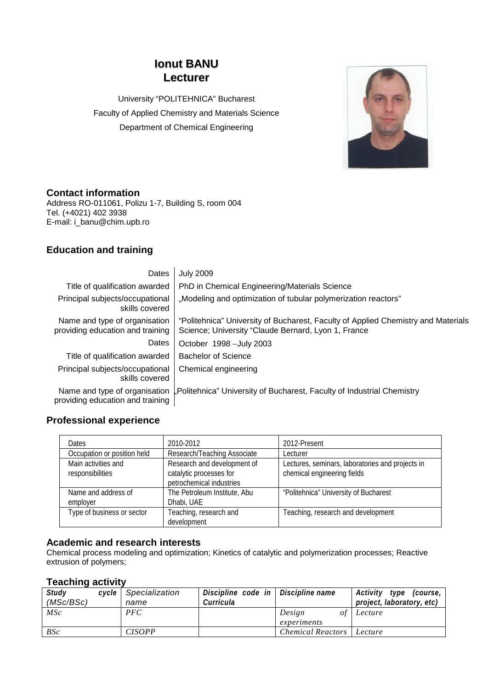# **Ionut BANU Lecturer**

University "POLITEHNICA" Bucharest Faculty of Applied Chemistry and Materials Science Department of Chemical Engineering



### **Contact information**

Address RO-011061, Polizu 1-7, Building S, room 004 Tel. (+4021) 402 3938 E-mail: i\_banu@chim.upb.ro

## **Education and training**

| Dates                                                             | <b>July 2009</b>                                                                                                                         |
|-------------------------------------------------------------------|------------------------------------------------------------------------------------------------------------------------------------------|
| Title of qualification awarded                                    | PhD in Chemical Engineering/Materials Science                                                                                            |
| Principal subjects/occupational<br>skills covered                 | "Modeling and optimization of tubular polymerization reactors"                                                                           |
| Name and type of organisation<br>providing education and training | "Politehnica" University of Bucharest, Faculty of Applied Chemistry and Materials<br>Science; University "Claude Bernard, Lyon 1, France |
| Dates                                                             | October 1998 - July 2003                                                                                                                 |
| Title of qualification awarded                                    | <b>Bachelor of Science</b>                                                                                                               |
| Principal subjects/occupational<br>skills covered                 | Chemical engineering                                                                                                                     |
| providing education and training                                  | Name and type of organisation "Politehnica" University of Bucharest, Faculty of Industrial Chemistry                                     |

### **Professional experience**

| <b>Dates</b>                            | 2010-2012                                                                          | 2012-Present                                                                    |
|-----------------------------------------|------------------------------------------------------------------------------------|---------------------------------------------------------------------------------|
| Occupation or position held             | Research/Teaching Associate                                                        | Lecturer                                                                        |
| Main activities and<br>responsibilities | Research and development of<br>catalytic processes for<br>petrochemical industries | Lectures, seminars, laboratories and projects in<br>chemical engineering fields |
| Name and address of<br>employer         | The Petroleum Institute, Abu<br>Dhabi, UAE                                         | "Politehnica" University of Bucharest                                           |
| Type of business or sector              | Teaching, research and<br>development                                              | Teaching, research and development                                              |

#### **Academic and research interests**

Chemical process modeling and optimization; Kinetics of catalytic and polymerization processes; Reactive extrusion of polymers;

#### **Teaching activity**

| Study          | cvcle l | Specialization | Discipline code in $\vert$ Discipline name |                          | Activity type<br>(course, |
|----------------|---------|----------------|--------------------------------------------|--------------------------|---------------------------|
| (MSc/BSc)      |         | name           | Curricula                                  |                          | project, laboratory, etc) |
| $\mathit{MSc}$ |         | PFC            |                                            | Design<br>οt             | Lecture                   |
|                |         |                |                                            | experiments              |                           |
| BSc            |         | <b>CISOPP</b>  |                                            | <b>Chemical Reactors</b> | Lecture                   |
|                |         |                |                                            |                          |                           |